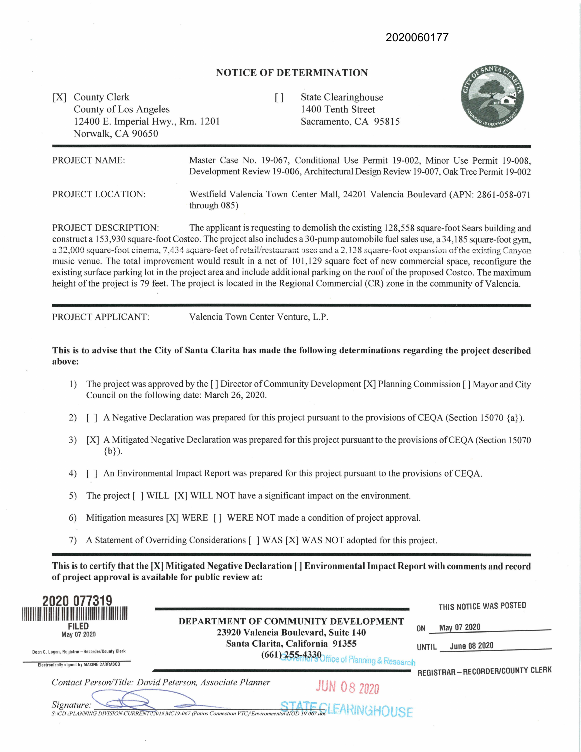## 2020060177

#### **NOTICE OF DETERMINATION**

[X] County Clerk [ ] County of Los Angeles 12400 E. Imperial Hwy., Rm. 1201 Norwalk, CA 90650

State Clearinghouse 1400 Tenth Street Sacramento, CA 95815



| PROJECT NAME:     | Master Case No. 19-067, Conditional Use Permit 19-002, Minor Use Permit 19-008,<br>Development Review 19-006, Architectural Design Review 19-007, Oak Tree Permit 19-002 |
|-------------------|--------------------------------------------------------------------------------------------------------------------------------------------------------------------------|
| PROJECT LOCATION: | Westfield Valencia Town Center Mall, 24201 Valencia Boulevard (APN: 2861-058-071<br>through $085$ )                                                                      |

PROJECT DESCRIPTION: The applicant is requesting to demolish the existing 128,558 square-foot Sears building and construct a 153,930 square-foot Costco. The project also includes a 30-pump automobile fuel sales use, a 34,185 square-foot gym. a 32,000 square-foot cinema, 7,434 square-feet of retail/restaurant uses and a 2,138 square-foot expansion of the existing Canyon music venue. The total improvement would result in a net of 101,129 square feet of new commercial space, reconfigure the existing surface parking lot in the project area and include additional parking on the roof of the proposed Costco. The maximum height of the project is 79 feet. The project is located in the Regional Commercial (CR) zone in the community of Valencia.

PROJECT APPLICANT: Valencia Town Center Venture, L.P.

**This is to advise that the City of Santa Clarita has made the following determinations regarding the project described above:** 

- 1) The project was approved by the [] Director of Community Development [X] Planning Commission [] Mayor and City Council on the following date: March 26, 2020.
- 2) [ ] A Negative Declaration was prepared for this project pursuant to the provisions of CEQA (Section 15070 {a}).
- 3) [X] A Mitigated Negative Declaration was prepared for this project pursuant to the provisions ofCEQA (Section 15070  $\{b\}$ ).
- 4) [ ] An Environmental Impact Report was prepared for this project pursuant to the provisions of CEQA.
- 5). The project [ ] WILL [X] WILL NOT have a significant impact on the environment.
- 6) Mitigation measures [X] WERE [] WERE NOT made a condition of project approval.
- 7) A Statement of Overriding Considerations [ ] WAS [X] WAS NOT adopted for this project.

**This is to certify that the [X] Mitigated Negative Declaration** [] **Environmental Impact Report with comments and record of project approval is available for public review at:** 

| 2020 077319<br><b>FILED</b><br>May 07 2020<br>Dean C. Logan, Registrar - Recorder/County Clerk<br><b>Electronically signed by MAXINE CARRASCO</b> | <b>DEPARTMENT OF COMMUNITY DEVELOPMENT</b><br>23920 Valencia Boulevard, Suite 140<br>Santa Clarita, California 91355<br>(661) 255-13330 ffice of Planning & Research |               | <b>ON</b><br>UNTIL | THIS NOTICE WAS POSTED<br>May 07 2020<br>June 08 2020 |
|---------------------------------------------------------------------------------------------------------------------------------------------------|----------------------------------------------------------------------------------------------------------------------------------------------------------------------|---------------|--------------------|-------------------------------------------------------|
| Signature:                                                                                                                                        | Contact Person/Title: David Peterson, Associate Planner<br>S:\CD\JPLANNING DIVISION\CURRENT\12019\MC19-067 (Patios Connection VTC)\Environmental\NOD 19 067.doc      | $JUN$ 08 2020 |                    | REGISTRAR-RECORDER/COUNTY CLERK                       |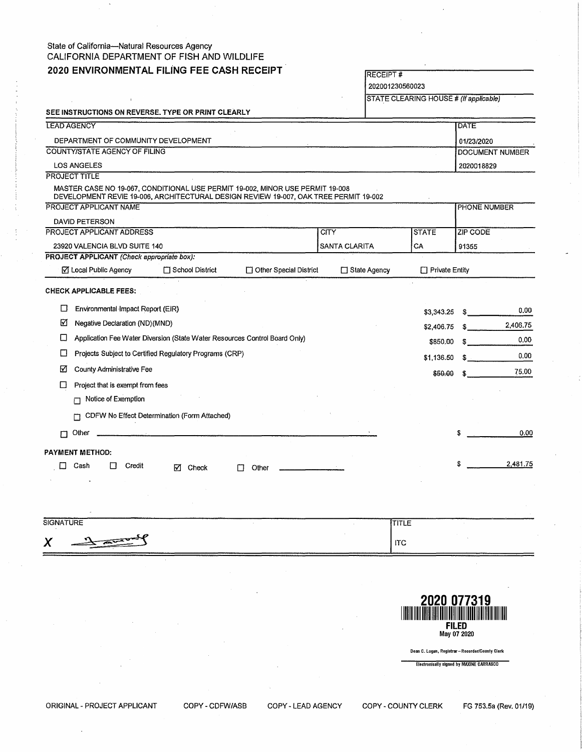### State of California---Natural Resources Agency CALIFORNIA DEPARTMENT OF FISH AND WILDLIFE **2020 ENVIRONMENTAL FILiNG** FEE **CASH RECEIPT**

|  | 2020 ENVIRONMENTAL FILING FEE CASH RECEIPT<br><b>RECEIPT#</b><br>202001230560023 |                                                                                                                                                                       |                                              |                        |                                        |                |                       |                     |          |
|--|----------------------------------------------------------------------------------|-----------------------------------------------------------------------------------------------------------------------------------------------------------------------|----------------------------------------------|------------------------|----------------------------------------|----------------|-----------------------|---------------------|----------|
|  |                                                                                  |                                                                                                                                                                       |                                              |                        |                                        |                |                       |                     |          |
|  |                                                                                  |                                                                                                                                                                       |                                              |                        | STATE CLEARING HOUSE # (If applicable) |                |                       |                     |          |
|  |                                                                                  | SEE INSTRUCTIONS ON REVERSE. TYPE OR PRINT CLEARLY                                                                                                                    |                                              |                        |                                        |                |                       |                     |          |
|  |                                                                                  | <b>LEAD AGENCY</b>                                                                                                                                                    |                                              |                        |                                        |                |                       | DATE                |          |
|  |                                                                                  | DEPARTMENT OF COMMUNITY DEVELOPMENT                                                                                                                                   |                                              |                        |                                        |                |                       | 01/23/2020          |          |
|  |                                                                                  | COUNTY/STATE AGENCY OF FILING                                                                                                                                         |                                              |                        |                                        |                |                       | DOCUMENT NUMBER     |          |
|  |                                                                                  | <b>LOS ANGELES</b>                                                                                                                                                    |                                              |                        |                                        |                |                       | 2020018829          |          |
|  |                                                                                  | <b>PROJECT TITLE</b>                                                                                                                                                  |                                              |                        |                                        |                |                       |                     |          |
|  |                                                                                  | MASTER CASE NO 19-067, CONDITIONAL USE PERMIT 19-002, MINOR USE PERMIT 19-008<br>DEVELOPMENT REVIE 19-006, ARCHITECTURAL DESIGN REVIEW 19-007, OAK TREE PERMIT 19-002 |                                              |                        |                                        |                |                       |                     |          |
|  |                                                                                  | PROJECT APPLICANT NAME                                                                                                                                                |                                              |                        |                                        |                |                       | <b>PHONE NUMBER</b> |          |
|  |                                                                                  | <b>DAVID PETERSON</b>                                                                                                                                                 |                                              |                        |                                        |                |                       |                     |          |
|  |                                                                                  | <b>PROJECT APPLICANT ADDRESS</b>                                                                                                                                      |                                              |                        | CITY                                   |                | <b>STATE</b>          | ZIP CODE            |          |
|  |                                                                                  | 23920 VALENCIA BLVD SUITE 140                                                                                                                                         |                                              |                        | SANTA CLARITA                          |                | CA                    | 91355               |          |
|  |                                                                                  | PROJECT APPLICANT (Check appropriate box):                                                                                                                            |                                              |                        |                                        |                |                       |                     |          |
|  |                                                                                  | ☑ Local Public Agency                                                                                                                                                 | School District                              | Other Special District |                                        | □ State Agency | $\Box$ Private Entity |                     |          |
|  |                                                                                  | <b>CHECK APPLICABLE FEES:</b>                                                                                                                                         |                                              |                        |                                        |                |                       |                     |          |
|  | □                                                                                | Environmental Impact Report (EIR)                                                                                                                                     |                                              |                        |                                        |                |                       |                     |          |
|  |                                                                                  |                                                                                                                                                                       |                                              |                        |                                        |                | \$3,343.25            | SS.                 | 0.00     |
|  | ⊠                                                                                | Negative Declaration (ND)(MND)                                                                                                                                        |                                              |                        |                                        |                | \$2,406.75            | S                   | 2,406.75 |
|  | L                                                                                | Application Fee Water Diversion (State Water Resources Control Board Only)                                                                                            |                                              |                        |                                        |                | \$850,00              | S.                  | 0.00     |
|  | □                                                                                | Projects Subject to Certified Regulatory Programs (CRP)                                                                                                               |                                              |                        |                                        |                | \$1,136.50            | s.                  | 0.00     |
|  | М                                                                                | County Administrative Fee                                                                                                                                             |                                              |                        |                                        |                | \$50.00               | S                   | 75.00    |
|  | m                                                                                | Project that is exempt from fees                                                                                                                                      |                                              |                        |                                        |                |                       |                     |          |
|  |                                                                                  | Notice of Exemption<br>П                                                                                                                                              |                                              |                        |                                        |                |                       |                     |          |
|  |                                                                                  | п                                                                                                                                                                     | CDFW No Effect Determination (Form Attached) |                        |                                        |                |                       |                     |          |
|  |                                                                                  |                                                                                                                                                                       |                                              |                        |                                        |                |                       |                     |          |
|  | П                                                                                | Other                                                                                                                                                                 |                                              |                        |                                        |                |                       | S                   | 0.00     |
|  |                                                                                  | PAYMENT METHOD:                                                                                                                                                       |                                              |                        |                                        |                |                       |                     |          |
|  | $\Box$                                                                           | Cash<br>Credit<br>l 1                                                                                                                                                 | Check<br>м                                   | Other<br>ΙI            |                                        |                |                       |                     | 2,481.75 |
|  |                                                                                  |                                                                                                                                                                       |                                              |                        |                                        |                |                       |                     |          |

| <b>SIGNATURE</b>     | <b>TITLE</b> |  |
|----------------------|--------------|--|
| $\frac{1}{\sqrt{2}}$ | <b>ITC</b>   |  |
| ----------------     |              |  |



Dean C. Logan, Registrar-Recorder/County Clerk

Electronically signed by MAXINE CARRASCO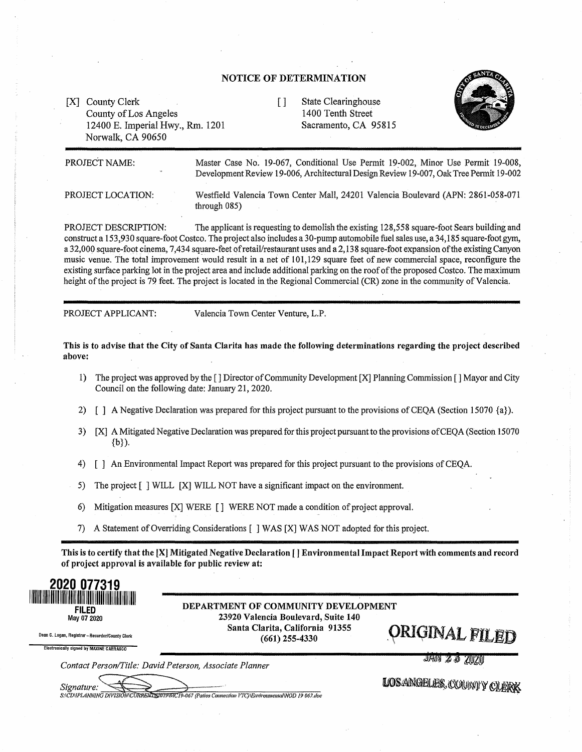#### **NOTICE OF DETERMINATION**

[X] County Clerk County of Los Angeles 12400 E. Imperial Hwy., Rm. 1201 Norwalk, CA 90650

[ ] State Clearinghouse 1400 Tenth Street Sacramento, CA 95815



PROJECT NAME:

Master Case No. 19-067, Conditional Use Permit 19-002, Minor Use Permit 19-008, Development Review 19-006, Architectural Design Review 19-007, Oak Tree Permit 19-002

PROJECT LOCATION:

Westfield Valencia Town Center Mall, 24201 Valencia Boulevard (APN: 2861-058-071 through  $085$ )

PROJECT DESCRIPTION: The applicant is requesting to demolish the existing 128,558 square-foot Sears building and construct a 153,930 square-foot Costco. The project also includes a 30-pump automobile fuel sales use, a 34,185 square-foot gym, a 32,000 square-foot cinema, 7,434 square-feet of retail/restaurant uses and a 2,138 square-foot expansion of the existing Canyon music venue. The total improvement would result in a net of 101,129 square feet of new commercial space, reconfigure the existing surface parking lot in the project area and include additional parking on the roof of the proposed Costco. The maximum height of the project is 79 feet. The project is located in the Regional Commercial (CR) zone in the community of Valencia.

PROJECT APPLICANT: Valencia Town Center Venture, L.P.

**This is to advise that the City of Santa Clarita has made the following determinations regarding the project described above:** 

- 1) The project was approved by the [] Director of Community Deveiopment **[X]** Planning Commission [ ] Mayor and City Council on the following date: January 21, 2020.
- 2) [ ] A Negative Declaration was prepared for this project pursuant to the provisions of CEQA (Section 15070 {a}).
- 3) [X] A Mitigated Negative Declaration was prepared for this project pursuant to the provisions of CEQA (Section 15070 {b}).
- 4) [ ] An Environmental Impact Report was prepared for this project pursuant to the provisions of CEQA.

5) The project [ ] WILL [X] WILL NOT have a significant impact on the environment.

- 6) Mitigation measures  $[X]$  WERE  $[ ]$  WERE NOT made a condition of project approval.
- 7) A Statement of Overriding Considerations [ ] WAS (X] WAS NOT adopted for this project.

This is to certify that the [XJ Mitigated Negative Declaration [ l Environmental Impact Report with comments and record of project approval is available for public review at:



Dean C. Logan, Registrar-Recorder/County Clerk Electronically signed by MAXINE CARRASCO

DEPARTMENT OF COMMUNITY DEVELOPMENT 23920 Valencia Boulevard, Suite 140 Santa Clarita, California 91355  $\frac{1}{2}$ (661) 255-4330<br>(661) 255-4330

*Contact Person/Title: David Peterson, Associate Planner* 

Signature: 5:\CD\IPLANNING DIVISION\CURRENT\\$2019\MC19-067 (Patios Connection VTC)\Environmental\NOD 19 067.doc LOSANGELES, COUNTY CLERK